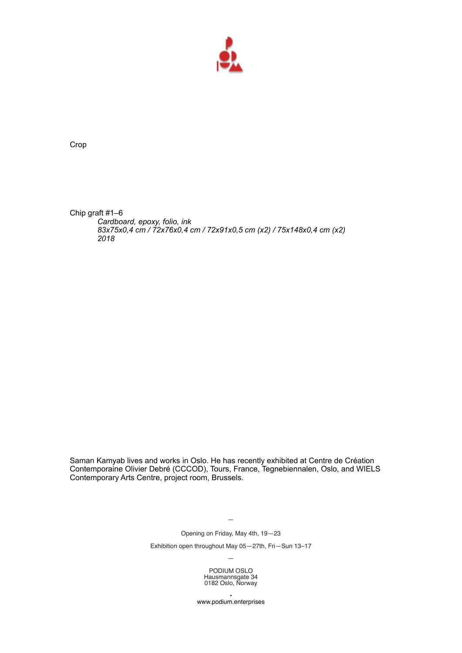

Crop

Chip graft #1–6 *Cardboard, epoxy, folio, ink 83x75x0,4 cm / 72x76x0,4 cm / 72x91x0,5 cm (x2) / 75x148x0,4 cm (x2) 2018*

Saman Kamyab lives and works in Oslo. He has recently exhibited at Centre de Création Contemporaine Olivier Debré (CCCOD), Tours, France, Tegnebiennalen, Oslo, and WIELS Contemporary Arts Centre, project room, Brussels.

—

Opening on Friday, May 4th, 19—23

Exhibition open throughout May 05—27th, Fri—Sun 13–17 —

> PODIUM OSLO Hausmannsgate 34 0182 Oslo, Norway

• www.podium.enterprises